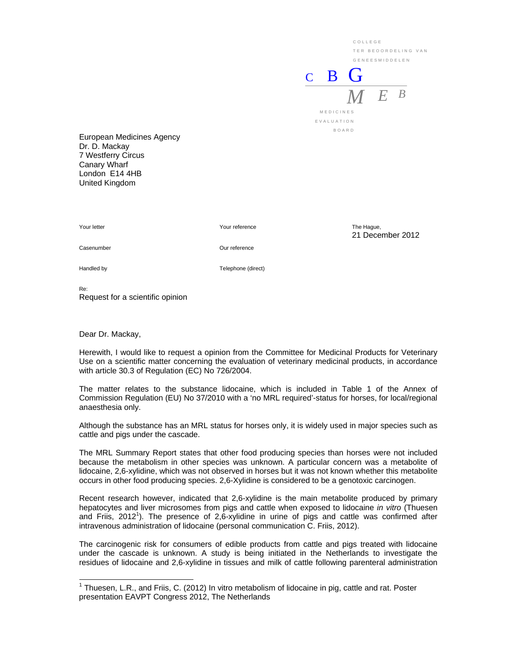COLLEGE TER BEOORDELING VAN GENEESMIDDELEN

21 December 2012

 $C$  B *M E <sup>B</sup>*

MEDICINES EVALUATION BOARD

European Medicines Agency Dr. D. Mackay 7 Westferry Circus Canary Wharf London E14 4HB United Kingdom

Your letter The Hague, The Hague, The Hague, The Hague, The Hague, The Hague, The Hague,

Casenumber Our reference

Handled by Telephone (direct)

Re: Request for a scientific opinion

Dear Dr. Mackay,

-

Herewith, I would like to request a opinion from the Committee for Medicinal Products for Veterinary Use on a scientific matter concerning the evaluation of veterinary medicinal products, in accordance with article 30.3 of Regulation (EC) No 726/2004.

The matter relates to the substance lidocaine, which is included in Table 1 of the Annex of Commission Regulation (EU) No 37/2010 with a 'no MRL required'-status for horses, for local/regional anaesthesia only.

Although the substance has an MRL status for horses only, it is widely used in major species such as cattle and pigs under the cascade.

The MRL Summary Report states that other food producing species than horses were not included because the metabolism in other species was unknown. A particular concern was a metabolite of lidocaine, 2,6-xylidine, which was not observed in horses but it was not known whether this metabolite occurs in other food producing species. 2,6-Xylidine is considered to be a genotoxic carcinogen.

Recent research however, indicated that 2,6-xylidine is the main metabolite produced by primary hepatocytes and liver microsomes from pigs and cattle when exposed to lidocaine *in vitro* (Thuesen and Friis, 2012<sup>1</sup>). The presence of 2,6-xylidine in urine of pigs and cattle was confirmed after intravenous administration of lidocaine (personal communication C. Friis, 2012).

The carcinogenic risk for consumers of edible products from cattle and pigs treated with lidocaine under the cascade is unknown. A study is being initiated in the Netherlands to investigate the residues of lidocaine and 2,6-xylidine in tissues and milk of cattle following parenteral administration

<sup>&</sup>lt;sup>1</sup> Thuesen, L.R., and Friis, C. (2012) In vitro metabolism of lidocaine in pig, cattle and rat. Poster presentation EAVPT Congress 2012, The Netherlands